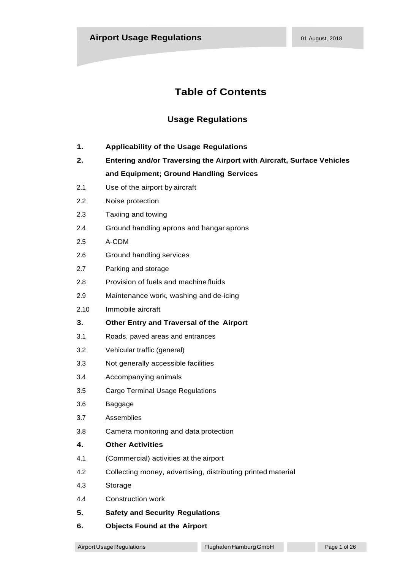# **Table of Contents**

# **Usage Regulations**

| 1.   | <b>Applicability of the Usage Regulations</b>                          |
|------|------------------------------------------------------------------------|
| 2.   | Entering and/or Traversing the Airport with Aircraft, Surface Vehicles |
|      | and Equipment; Ground Handling Services                                |
| 2.1  | Use of the airport by aircraft                                         |
| 2.2  | Noise protection                                                       |
| 2.3  | Taxiing and towing                                                     |
| 2.4  | Ground handling aprons and hangar aprons                               |
| 2.5  | A-CDM                                                                  |
| 2.6  | Ground handling services                                               |
| 2.7  | Parking and storage                                                    |
| 2.8  | Provision of fuels and machine fluids                                  |
| 2.9  | Maintenance work, washing and de-icing                                 |
| 2.10 | Immobile aircraft                                                      |
| 3.   | Other Entry and Traversal of the Airport                               |
| 3.1  | Roads, paved areas and entrances                                       |
| 3.2  | Vehicular traffic (general)                                            |
| 3.3  | Not generally accessible facilities                                    |
| 3.4  | Accompanying animals                                                   |
| 3.5  | <b>Cargo Terminal Usage Regulations</b>                                |
| 3.6  | Baggage                                                                |
| 3.7  | Assemblies                                                             |
| 3.8  | Camera monitoring and data protection                                  |
| 4.   | <b>Other Activities</b>                                                |
| 4.1  | (Commercial) activities at the airport                                 |
| 4.2  | Collecting money, advertising, distributing printed material           |
| 4.3  | Storage                                                                |
| 4.4  | <b>Construction work</b>                                               |
| 5.   | <b>Safety and Security Regulations</b>                                 |
| 6.   | <b>Objects Found at the Airport</b>                                    |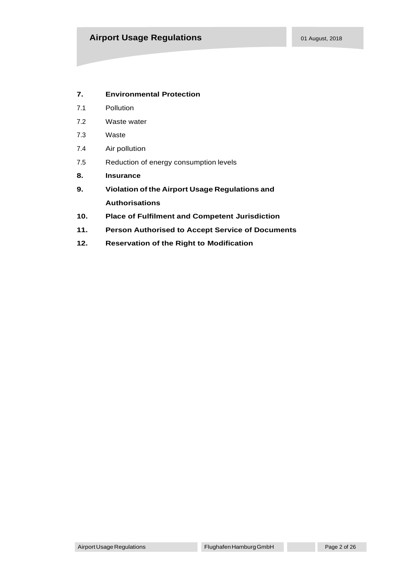# Airport Usage Regulations **Airport Usage Regulations 1 August**, 2018

# **7. Environmental Protection**

- 7.1 Pollution
- 7.2 Waste water
- 7.3 Waste
- 7.4 Air pollution
- 7.5 Reduction of energy consumption levels
- **8. Insurance**
- **9. Violation of the Airport Usage Regulations and Authorisations**
- **10. Place of Fulfilment and Competent Jurisdiction**
- **11. Person Authorised to Accept Service of Documents**
- **12. Reservation of the Right to Modification**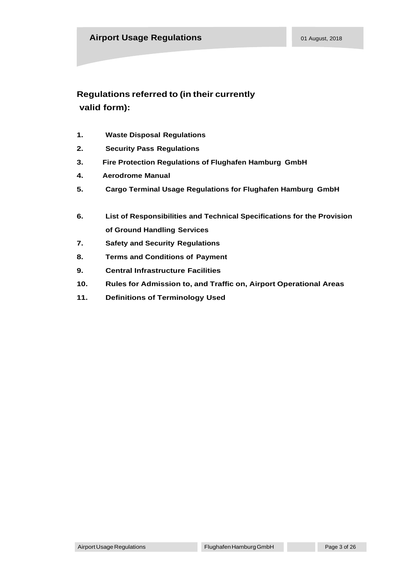# **Regulations referred to (in their currently valid form):**

- **1. Waste Disposal Regulations**
- **2. Security Pass Regulations**
- **3. Fire Protection Regulations of Flughafen Hamburg GmbH**
- **4. Aerodrome Manual**
- **5. Cargo Terminal Usage Regulations for Flughafen Hamburg GmbH**
- **6. List of Responsibilities and Technical Specifications for the Provision of Ground Handling Services**
- **7. Safety and Security Regulations**
- **8. Terms and Conditions of Payment**
- **9. Central Infrastructure Facilities**
- **10. Rules for Admission to, and Traffic on, Airport Operational Areas**
- **11. Definitions of Terminology Used**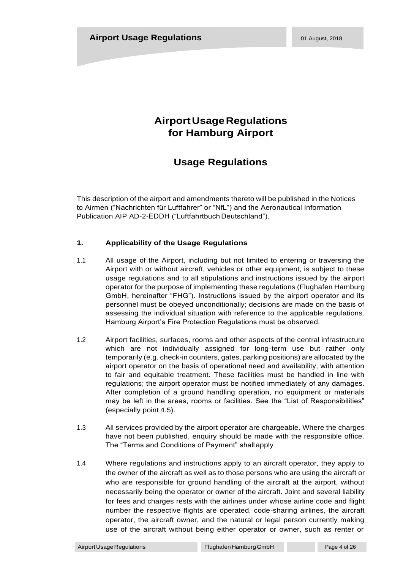# **AirportUsageRegulations for Hamburg Airport**

# **Usage Regulations**

This description of the airport and amendments thereto will be published in the Notices to Airmen ("Nachrichten für Luftfahrer" or "NfL") and the Aeronautical Information Publication AIP AD-2-EDDH ("Luftfahrtbuch Deutschland").

# **1. Applicability of the Usage Regulations**

- 1.1 All usage of the Airport, including but not limited to entering or traversing the Airport with or without aircraft, vehicles or other equipment, is subject to these usage regulations and to all stipulations and instructions issued by the airport operator for the purpose of implementing these regulations (Flughafen Hamburg GmbH, hereinafter "FHG"). Instructions issued by the airport operator and its personnel must be obeyed unconditionally; decisions are made on the basis of assessing the individual situation with reference to the applicable regulations. Hamburg Airport's Fire Protection Regulations must be observed.
- 1.2 Airport facilities, surfaces, rooms and other aspects of the central infrastructure which are not individually assigned for long-term use but rather only temporarily (e.g. check-in counters, gates, parking positions) are allocated by the airport operator on the basis of operational need and availability, with attention to fair and equitable treatment. These facilities must be handled in line with regulations; the airport operator must be notified immediately of any damages. After completion of a ground handling operation, no equipment or materials may be left in the areas, rooms or facilities. See the "List of Responsibilities" (especially point 4.5).
- 1.3 All services provided by the airport operator are chargeable. Where the charges have not been published, enquiry should be made with the responsible office. The "Terms and Conditions of Payment" shallapply
- 1.4 Where regulations and instructions apply to an aircraft operator, they apply to the owner of the aircraft as well as to those persons who are using the aircraft or who are responsible for ground handling of the aircraft at the airport, without necessarily being the operator or owner of the aircraft. Joint and several liability for fees and charges rests with the airlines under whose airline code and flight number the respective flights are operated, code-sharing airlines, the aircraft operator, the aircraft owner, and the natural or legal person currently making use of the aircraft without being either operator or owner, such as renter or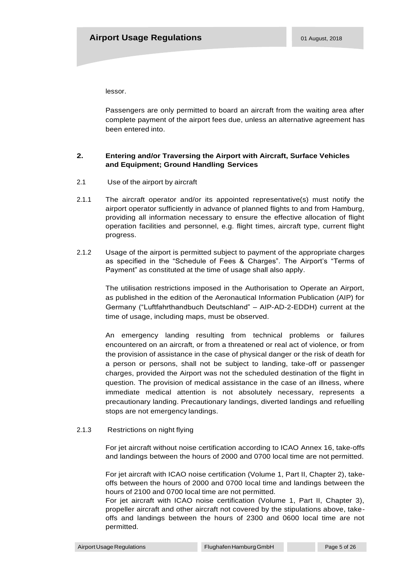lessor.

Passengers are only permitted to board an aircraft from the waiting area after complete payment of the airport fees due, unless an alternative agreement has been entered into.

# **2. Entering and/or Traversing the Airport with Aircraft, Surface Vehicles and Equipment; Ground Handling Services**

- 2.1 Use of the airport by aircraft
- 2.1.1 The aircraft operator and/or its appointed representative(s) must notify the airport operator sufficiently in advance of planned flights to and from Hamburg, providing all information necessary to ensure the effective allocation of flight operation facilities and personnel, e.g. flight times, aircraft type, current flight progress.
- 2.1.2 Usage of the airport is permitted subject to payment of the appropriate charges as specified in the "Schedule of Fees & Charges". The Airport's "Terms of Payment" as constituted at the time of usage shall also apply.

The utilisation restrictions imposed in the Authorisation to Operate an Airport, as published in the edition of the Aeronautical Information Publication (AIP) for Germany ("Luftfahrthandbuch Deutschland" – AIP-AD-2-EDDH) current at the time of usage, including maps, must be observed.

An emergency landing resulting from technical problems or failures encountered on an aircraft, or from a threatened or real act of violence, or from the provision of assistance in the case of physical danger or the risk of death for a person or persons, shall not be subject to landing, take-off or passenger charges, provided the Airport was not the scheduled destination of the flight in question. The provision of medical assistance in the case of an illness, where immediate medical attention is not absolutely necessary, represents a precautionary landing. Precautionary landings, diverted landings and refuelling stops are not emergency landings.

# 2.1.3 Restrictions on night flying

For jet aircraft without noise certification according to ICAO Annex 16, take-offs and landings between the hours of 2000 and 0700 local time are not permitted.

For jet aircraft with ICAO noise certification (Volume 1, Part II, Chapter 2), takeoffs between the hours of 2000 and 0700 local time and landings between the hours of 2100 and 0700 local time are not permitted.

For jet aircraft with ICAO noise certification (Volume 1, Part II, Chapter 3), propeller aircraft and other aircraft not covered by the stipulations above, takeoffs and landings between the hours of 2300 and 0600 local time are not permitted.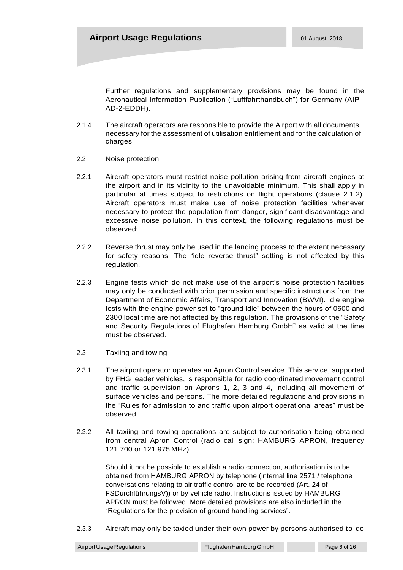Further regulations and supplementary provisions may be found in the Aeronautical Information Publication ("Luftfahrthandbuch") for Germany (AIP - AD-2-EDDH).

- 2.1.4 The aircraft operators are responsible to provide the Airport with all documents necessary for the assessment of utilisation entitlement and for the calculation of charges.
- 2.2 Noise protection
- 2.2.1 Aircraft operators must restrict noise pollution arising from aircraft engines at the airport and in its vicinity to the unavoidable minimum. This shall apply in particular at times subject to restrictions on flight operations (clause 2.1.2). Aircraft operators must make use of noise protection facilities whenever necessary to protect the population from danger, significant disadvantage and excessive noise pollution. In this context, the following regulations must be observed:
- 2.2.2 Reverse thrust may only be used in the landing process to the extent necessary for safety reasons. The "idle reverse thrust" setting is not affected by this regulation.
- 2.2.3 Engine tests which do not make use of the airport's noise protection facilities may only be conducted with prior permission and specific instructions from the Department of Economic Affairs, Transport and Innovation (BWVI). Idle engine tests with the engine power set to "ground idle" between the hours of 0600 and 2300 local time are not affected by this regulation. The provisions of the "Safety and Security Regulations of Flughafen Hamburg GmbH" as valid at the time must be observed.
- 2.3 Taxiing and towing
- 2.3.1 The airport operator operates an Apron Control service. This service, supported by FHG leader vehicles, is responsible for radio coordinated movement control and traffic supervision on Aprons 1, 2, 3 and 4, including all movement of surface vehicles and persons. The more detailed regulations and provisions in the "Rules for admission to and traffic upon airport operational areas" must be observed.
- 2.3.2 All taxiing and towing operations are subject to authorisation being obtained from central Apron Control (radio call sign: HAMBURG APRON, frequency 121.700 or 121.975 MHz).

Should it not be possible to establish a radio connection, authorisation is to be obtained from HAMBURG APRON by telephone (internal line 2571 / telephone conversations relating to air traffic control are to be recorded (Art. 24 of FSDurchführungsV)) or by vehicle radio. Instructions issued by HAMBURG APRON must be followed. More detailed provisions are also included in the "Regulations for the provision of ground handling services".

2.3.3 Aircraft may only be taxied under their own power by persons authorised to do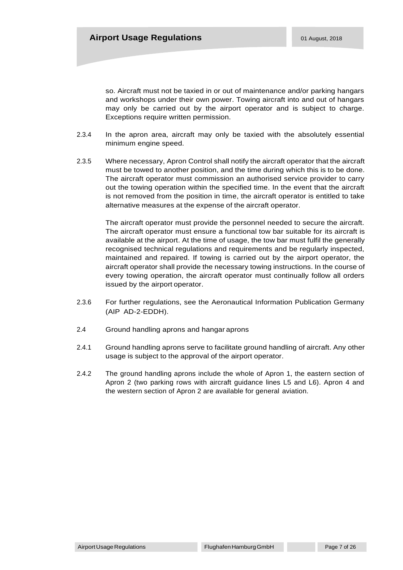so. Aircraft must not be taxied in or out of maintenance and/or parking hangars and workshops under their own power. Towing aircraft into and out of hangars may only be carried out by the airport operator and is subject to charge. Exceptions require written permission.

- 2.3.4 In the apron area, aircraft may only be taxied with the absolutely essential minimum engine speed.
- 2.3.5 Where necessary, Apron Control shall notify the aircraft operator that the aircraft must be towed to another position, and the time during which this is to be done. The aircraft operator must commission an authorised service provider to carry out the towing operation within the specified time. In the event that the aircraft is not removed from the position in time, the aircraft operator is entitled to take alternative measures at the expense of the aircraft operator.

The aircraft operator must provide the personnel needed to secure the aircraft. The aircraft operator must ensure a functional tow bar suitable for its aircraft is available at the airport. At the time of usage, the tow bar must fulfil the generally recognised technical regulations and requirements and be regularly inspected, maintained and repaired. If towing is carried out by the airport operator, the aircraft operator shall provide the necessary towing instructions. In the course of every towing operation, the aircraft operator must continually follow all orders issued by the airport operator.

- 2.3.6 For further regulations, see the Aeronautical Information Publication Germany (AIP AD-2-EDDH).
- 2.4 Ground handling aprons and hangar aprons
- 2.4.1 Ground handling aprons serve to facilitate ground handling of aircraft. Any other usage is subject to the approval of the airport operator.
- 2.4.2 The ground handling aprons include the whole of Apron 1, the eastern section of Apron 2 (two parking rows with aircraft guidance lines L5 and L6). Apron 4 and the western section of Apron 2 are available for general aviation.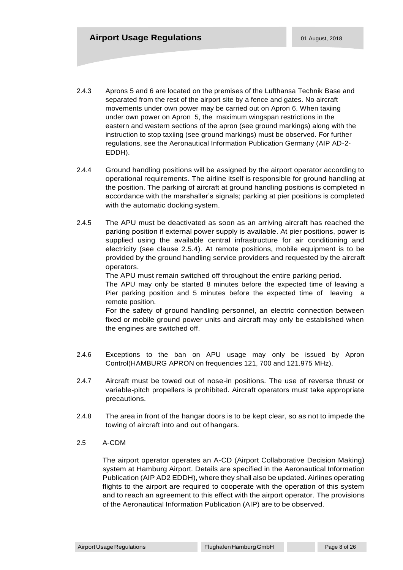- 2.4.3 Aprons 5 and 6 are located on the premises of the Lufthansa Technik Base and separated from the rest of the airport site by a fence and gates. No aircraft movements under own power may be carried out on Apron 6. When taxiing under own power on Apron 5, the maximum wingspan restrictions in the eastern and western sections of the apron (see ground markings) along with the instruction to stop taxiing (see ground markings) must be observed. For further regulations, see the Aeronautical Information Publication Germany (AIP AD-2- EDDH).
- 2.4.4 Ground handling positions will be assigned by the airport operator according to operational requirements. The airline itself is responsible for ground handling at the position. The parking of aircraft at ground handling positions is completed in accordance with the marshaller's signals; parking at pier positions is completed with the automatic docking system.
- 2.4.5 The APU must be deactivated as soon as an arriving aircraft has reached the parking position if external power supply is available. At pier positions, power is supplied using the available central infrastructure for air conditioning and electricity (see clause 2.5.4). At remote positions, mobile equipment is to be provided by the ground handling service providers and requested by the aircraft operators.

The APU must remain switched off throughout the entire parking period.

The APU may only be started 8 minutes before the expected time of leaving a Pier parking position and 5 minutes before the expected time of leaving a remote position.

For the safety of ground handling personnel, an electric connection between fixed or mobile ground power units and aircraft may only be established when the engines are switched off.

- 2.4.6 Exceptions to the ban on APU usage may only be issued by Apron Control(HAMBURG APRON on frequencies 121, 700 and 121.975 MHz).
- 2.4.7 Aircraft must be towed out of nose-in positions. The use of reverse thrust or variable-pitch propellers is prohibited. Aircraft operators must take appropriate precautions.
- 2.4.8 The area in front of the hangar doors is to be kept clear, so as not to impede the towing of aircraft into and out of hangars.
- 2.5 A-CDM

The airport operator operates an A-CD (Airport Collaborative Decision Making) system at Hamburg Airport. Details are specified in the Aeronautical Information Publication (AIP AD2 EDDH), where they shall also be updated. Airlines operating flights to the airport are required to cooperate with the operation of this system and to reach an agreement to this effect with the airport operator. The provisions of the Aeronautical Information Publication (AIP) are to be observed.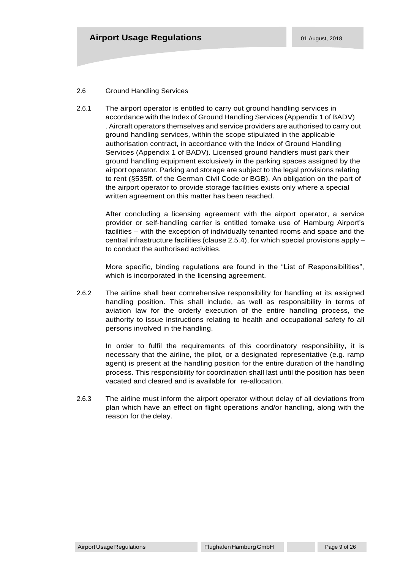#### 2.6 Ground Handling Services

2.6.1 The airport operator is entitled to carry out ground handling services in accordance with the Index of Ground Handling Services (Appendix 1 of BADV) . Aircraft operators themselves and service providers are authorised to carry out ground handling services, within the scope stipulated in the applicable authorisation contract, in accordance with the Index of Ground Handling Services (Appendix 1 of BADV). Licensed ground handlers must park their ground handling equipment exclusively in the parking spaces assigned by the airport operator. Parking and storage are subject to the legal provisions relating to rent (§535ff. of the German Civil Code or BGB). An obligation on the part of the airport operator to provide storage facilities exists only where a special written agreement on this matter has been reached.

After concluding a licensing agreement with the airport operator, a service provider or self-handling carrier is entitled tomake use of Hamburg Airport's facilities – with the exception of individually tenanted rooms and space and the central infrastructure facilities (clause 2.5.4), for which special provisions apply – to conduct the authorised activities.

More specific, binding regulations are found in the "List of Responsibilities", which is incorporated in the licensing agreement.

2.6.2 The airline shall bear comrehensive responsibility for handling at its assigned handling position. This shall include, as well as responsibility in terms of aviation law for the orderly execution of the entire handling process, the authority to issue instructions relating to health and occupational safety fo all persons involved in the handling.

In order to fulfil the requirements of this coordinatory responsibility, it is necessary that the airline, the pilot, or a designated representative (e.g. ramp agent) is present at the handling position for the entire duration of the handling process. This responsibility for coordination shall last until the position has been vacated and cleared and is available for re-allocation.

2.6.3 The airline must inform the airport operator without delay of all deviations from plan which have an effect on flight operations and/or handling, along with the reason for the delay.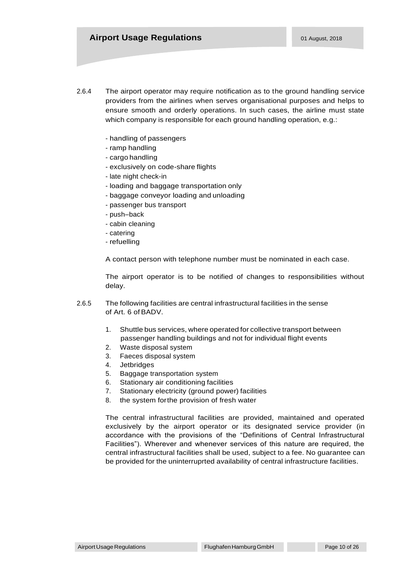- 2.6.4 The airport operator may require notification as to the ground handling service providers from the airlines when serves organisational purposes and helps to ensure smooth and orderly operations. In such cases, the airline must state which company is responsible for each ground handling operation, e.g.:
	- handling of passengers
	- ramp handling
	- cargo handling
	- exclusively on code-share flights
	- late night check-in
	- loading and baggage transportation only
	- baggage conveyor loading and unloading
	- passenger bus transport
	- push–back
	- cabin cleaning
	- catering
	- refuelling

A contact person with telephone number must be nominated in each case.

The airport operator is to be notified of changes to responsibilities without delay.

- 2.6.5 The following facilities are central infrastructural facilities in the sense of Art. 6 of BADV.
	- 1. Shuttle bus services, where operated for collective transport between passenger handling buildings and not for individual flight events
	- 2. Waste disposal system
	- 3. Faeces disposal system
	- 4. Jetbridges
	- 5. Baggage transportation system
	- 6. Stationary air conditioning facilities
	- 7. Stationary electricity (ground power) facilities
	- 8. the system forthe provision of fresh water

The central infrastructural facilities are provided, maintained and operated exclusively by the airport operator or its designated service provider (in accordance with the provisions of the "Definitions of Central Infrastructural Facilities"). Wherever and whenever services of this nature are required, the central infrastructural facilities shall be used, subject to a fee. No guarantee can be provided for the uninterruprted availability of central infrastructure facilities.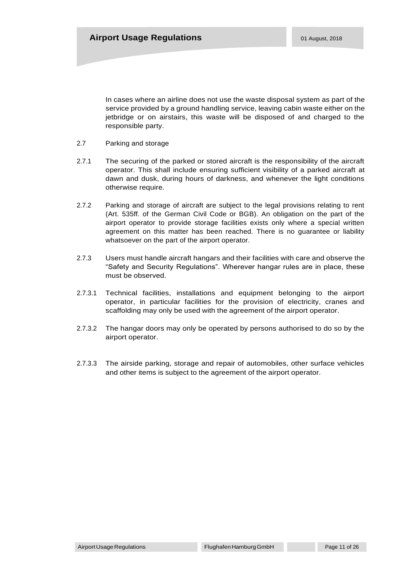In cases where an airline does not use the waste disposal system as part of the service provided by a ground handling service, leaving cabin waste either on the jetbridge or on airstairs, this waste will be disposed of and charged to the responsible party.

- 2.7 Parking and storage
- 2.7.1 The securing of the parked or stored aircraft is the responsibility of the aircraft operator. This shall include ensuring sufficient visibility of a parked aircraft at dawn and dusk, during hours of darkness, and whenever the light conditions otherwise require.
- 2.7.2 Parking and storage of aircraft are subject to the legal provisions relating to rent (Art. 535ff. of the German Civil Code or BGB). An obligation on the part of the airport operator to provide storage facilities exists only where a special written agreement on this matter has been reached. There is no guarantee or liability whatsoever on the part of the airport operator.
- 2.7.3 Users must handle aircraft hangars and their facilities with care and observe the "Safety and Security Regulations". Wherever hangar rules are in place, these must be observed.
- 2.7.3.1 Technical facilities, installations and equipment belonging to the airport operator, in particular facilities for the provision of electricity, cranes and scaffolding may only be used with the agreement of the airport operator.
- 2.7.3.2 The hangar doors may only be operated by persons authorised to do so by the airport operator.
- 2.7.3.3 The airside parking, storage and repair of automobiles, other surface vehicles and other items is subject to the agreement of the airport operator.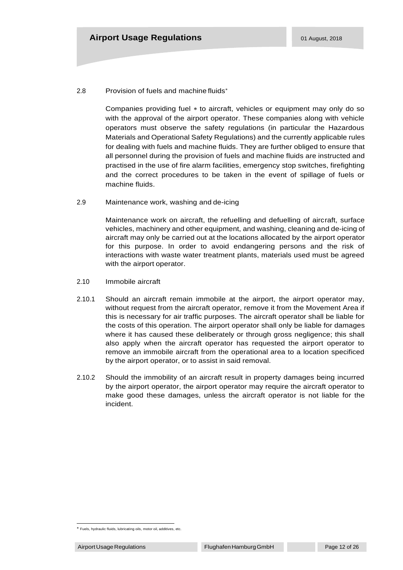#### 2.8 Provision of fuels and machine fluids

Companies providing fuel  $*$  to aircraft, vehicles or equipment may only do so with the approval of the airport operator. These companies along with vehicle operators must observe the safety regulations (in particular the Hazardous Materials and Operational Safety Regulations) and the currently applicable rules for dealing with fuels and machine fluids. They are further obliged to ensure that all personnel during the provision of fuels and machine fluids are instructed and practised in the use of fire alarm facilities, emergency stop switches, firefighting and the correct procedures to be taken in the event of spillage of fuels or machine fluids.

2.9 Maintenance work, washing and de-icing

Maintenance work on aircraft, the refuelling and defuelling of aircraft, surface vehicles, machinery and other equipment, and washing, cleaning and de-icing of aircraft may only be carried out at the locations allocated by the airport operator for this purpose. In order to avoid endangering persons and the risk of interactions with waste water treatment plants, materials used must be agreed with the airport operator.

- 2.10 Immobile aircraft
- 2.10.1 Should an aircraft remain immobile at the airport, the airport operator may, without request from the aircraft operator, remove it from the Movement Area if this is necessary for air traffic purposes. The aircraft operator shall be liable for the costs of this operation. The airport operator shall only be liable for damages where it has caused these deliberately or through gross negligence; this shall also apply when the aircraft operator has requested the airport operator to remove an immobile aircraft from the operational area to a location specificed by the airport operator, or to assist in said removal.
- 2.10.2 Should the immobility of an aircraft result in property damages being incurred by the airport operator, the airport operator may require the aircraft operator to make good these damages, unless the aircraft operator is not liable for the incident.

Fuels, hydraulic fluids, lubricating oils, motor oil, additives, etc.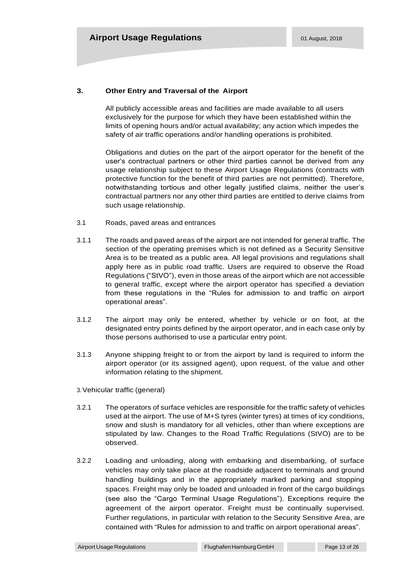#### **3. Other Entry and Traversal of the Airport**

All publicly accessible areas and facilities are made available to all users exclusively for the purpose for which they have been established within the limits of opening hours and/or actual availability; any action which impedes the safety of air traffic operations and/or handling operations is prohibited.

Obligations and duties on the part of the airport operator for the benefit of the user's contractual partners or other third parties cannot be derived from any usage relationship subject to these Airport Usage Regulations (contracts with protective function for the benefit of third parties are not permitted). Therefore, notwithstanding tortious and other legally justified claims, neither the user's contractual partners nor any other third parties are entitled to derive claims from such usage relationship.

- 3.1 Roads, paved areas and entrances
- 3.1.1 The roads and paved areas of the airport are not intended for general traffic. The section of the operating premises which is not defined as a Security Sensitive Area is to be treated as a public area. All legal provisions and regulations shall apply here as in public road traffic. Users are required to observe the Road Regulations ("StVO"), even in those areas of the airport which are not accessible to general traffic, except where the airport operator has specified a deviation from these regulations in the "Rules for admission to and traffic on airport operational areas".
- 3.1.2 The airport may only be entered, whether by vehicle or on foot, at the designated entry points defined by the airport operator, and in each case only by those persons authorised to use a particular entry point.
- 3.1.3 Anyone shipping freight to or from the airport by land is required to inform the airport operator (or its assigned agent), upon request, of the value and other information relating to the shipment.

3.Vehicular traffic (general)

- 3.2.1 The operators of surface vehicles are responsible for the traffic safety of vehicles used at the airport. The use of M+S tyres (winter tyres) at times of icy conditions, snow and slush is mandatory for all vehicles, other than where exceptions are stipulated by law. Changes to the Road Traffic Regulations (StVO) are to be observed.
- 3.2.2 Loading and unloading, along with embarking and disembarking, of surface vehicles may only take place at the roadside adjacent to terminals and ground handling buildings and in the appropriately marked parking and stopping spaces. Freight may only be loaded and unloaded in front of the cargo buildings (see also the "Cargo Terminal Usage Regulations"). Exceptions require the agreement of the airport operator. Freight must be continually supervised. Further regulations, in particular with relation to the Security Sensitive Area, are contained with "Rules for admission to and traffic on airport operational areas".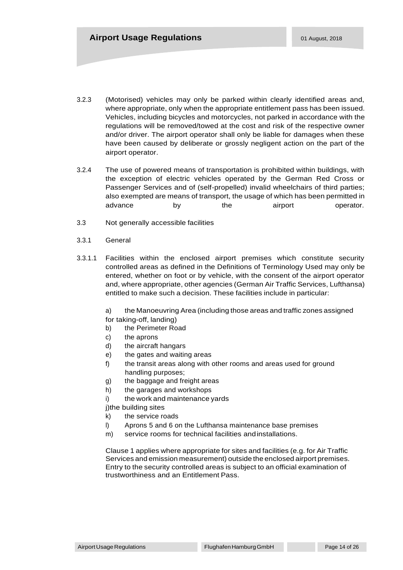- 3.2.3 (Motorised) vehicles may only be parked within clearly identified areas and, where appropriate, only when the appropriate entitlement pass has been issued. Vehicles, including bicycles and motorcycles, not parked in accordance with the regulations will be removed/towed at the cost and risk of the respective owner and/or driver. The airport operator shall only be liable for damages when these have been caused by deliberate or grossly negligent action on the part of the airport operator.
- 3.2.4 The use of powered means of transportation is prohibited within buildings, with the exception of electric vehicles operated by the German Red Cross or Passenger Services and of (self-propelled) invalid wheelchairs of third parties; also exempted are means of transport, the usage of which has been permitted in advance by the airport operator.
- 3.3 Not generally accessible facilities
- 3.3.1 General
- 3.3.1.1 Facilities within the enclosed airport premises which constitute security controlled areas as defined in the Definitions of Terminology Used may only be entered, whether on foot or by vehicle, with the consent of the airport operator and, where appropriate, other agencies (German Air Traffic Services, Lufthansa) entitled to make such a decision. These facilities include in particular:
	- a) the Manoeuvring Area (including those areas and traffic zones assigned
	- for taking-off, landing)
	- b) the Perimeter Road
	- c) the aprons
	- d) the aircraft hangars
	- e) the gates and waiting areas
	- f) the transit areas along with other rooms and areas used for ground handling purposes;
	- g) the baggage and freight areas
	- h) the garages and workshops
	- i) the work and maintenance yards
	- j)the building sites
	- k) the service roads
	- l) Aprons 5 and 6 on the Lufthansa maintenance base premises
	- m) service rooms for technical facilities andinstallations.

Clause 1 applies where appropriate for sites and facilities (e.g. for Air Traffic Services and emission measurement) outside the enclosed airport premises. Entry to the security controlled areas is subject to an official examination of trustworthiness and an Entitlement Pass.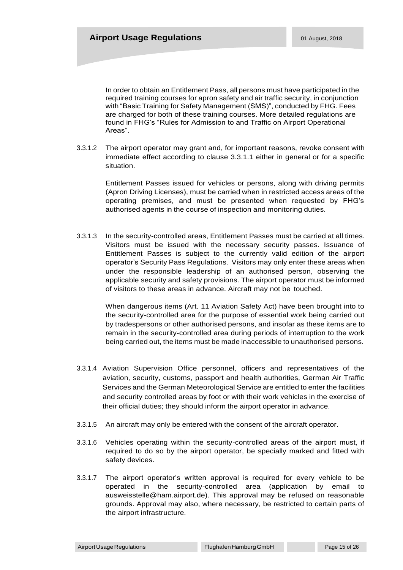In order to obtain an Entitlement Pass, all persons must have participated in the required training courses for apron safety and air traffic security, in conjunction with "Basic Training for Safety Management (SMS)", conducted by FHG. Fees are charged for both of these training courses. More detailed regulations are found in FHG's "Rules for Admission to and Traffic on Airport Operational Areas".

3.3.1.2 The airport operator may grant and, for important reasons, revoke consent with immediate effect according to clause 3.3.1.1 either in general or for a specific situation.

Entitlement Passes issued for vehicles or persons, along with driving permits (Apron Driving Licenses), must be carried when in restricted access areas of the operating premises, and must be presented when requested by FHG's authorised agents in the course of inspection and monitoring duties.

3.3.1.3 In the security-controlled areas, Entitlement Passes must be carried at all times. Visitors must be issued with the necessary security passes. Issuance of Entitlement Passes is subject to the currently valid edition of the airport operator's Security Pass Regulations. Visitors may only enter these areas when under the responsible leadership of an authorised person, observing the applicable security and safety provisions. The airport operator must be informed of visitors to these areas in advance. Aircraft may not be touched.

When dangerous items (Art. 11 Aviation Safety Act) have been brought into to the security-controlled area for the purpose of essential work being carried out by tradespersons or other authorised persons, and insofar as these items are to remain in the security-controlled area during periods of interruption to the work being carried out, the items must be made inaccessible to unauthorised persons.

- 3.3.1.4 Aviation Supervision Office personnel, officers and representatives of the aviation, security, customs, passport and health authorities, German Air Traffic Services and the German Meteorological Service are entitled to enter the facilities and security controlled areas by foot or with their work vehicles in the exercise of their official duties; they should inform the airport operator in advance.
- 3.3.1.5 An aircraft may only be entered with the consent of the aircraft operator.
- 3.3.1.6 Vehicles operating within the security-controlled areas of the airport must, if required to do so by the airport operator, be specially marked and fitted with safety devices.
- 3.3.1.7 The airport operator's written approval is required for every vehicle to be operated in the security-controlled area (application by email to ausweisstelle@ham.airport.de). This approval may be refused on reasonable grounds. Approval may also, where necessary, be restricted to certain parts of the airport infrastructure.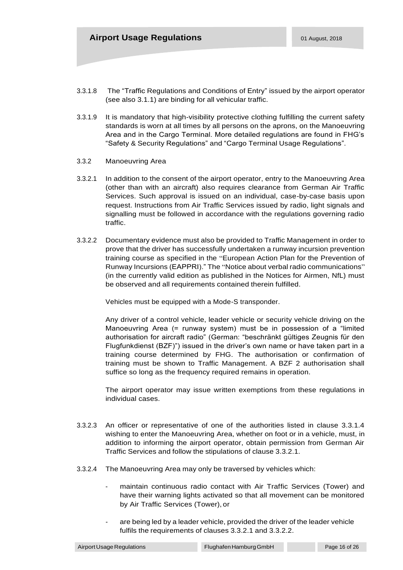- 3.3.1.8 The "Traffic Regulations and Conditions of Entry" issued by the airport operator (see also 3.1.1) are binding for all vehicular traffic.
- 3.3.1.9 It is mandatory that high-visibility protective clothing fulfilling the current safety standards is worn at all times by all persons on the aprons, on the Manoeuvring Area and in the Cargo Terminal. More detailed regulations are found in FHG's "Safety & Security Regulations" and "Cargo Terminal Usage Regulations".
- 3.3.2 Manoeuvring Area
- 3.3.2.1 In addition to the consent of the airport operator, entry to the Manoeuvring Area (other than with an aircraft) also requires clearance from German Air Traffic Services. Such approval is issued on an individual, case-by-case basis upon request. Instructions from Air Traffic Services issued by radio, light signals and signalling must be followed in accordance with the regulations governing radio traffic.
- 3.3.2.2 Documentary evidence must also be provided to Traffic Management in order to prove that the driver has successfully undertaken a runway incursion prevention training course as specified in the "European Action Plan for the Prevention of Runway Incursions (EAPPRI)." The "Notice about verbal radio communications" (in the currently valid edition as published in the Notices for Airmen, NfL) must be observed and all requirements contained therein fulfilled.

Vehicles must be equipped with a Mode-S transponder.

Any driver of a control vehicle, leader vehicle or security vehicle driving on the Manoeuvring Area (= runway system) must be in possession of a "limited authorisation for aircraft radio" (German: "beschränkt gültiges Zeugnis für den Flugfunkdienst (BZF)") issued in the driver's own name or have taken part in a training course determined by FHG. The authorisation or confirmation of training must be shown to Traffic Management. A BZF 2 authorisation shall suffice so long as the frequency required remains in operation.

The airport operator may issue written exemptions from these regulations in individual cases.

- 3.3.2.3 An officer or representative of one of the authorities listed in clause 3.3.1.4 wishing to enter the Manoeuvring Area, whether on foot or in a vehicle, must, in addition to informing the airport operator, obtain permission from German Air Traffic Services and follow the stipulations of clause 3.3.2.1.
- 3.3.2.4 The Manoeuvring Area may only be traversed by vehicles which:
	- maintain continuous radio contact with Air Traffic Services (Tower) and have their warning lights activated so that all movement can be monitored by Air Traffic Services (Tower), or
	- are being led by a leader vehicle, provided the driver of the leader vehicle fulfils the requirements of clauses 3.3.2.1 and 3.3.2.2.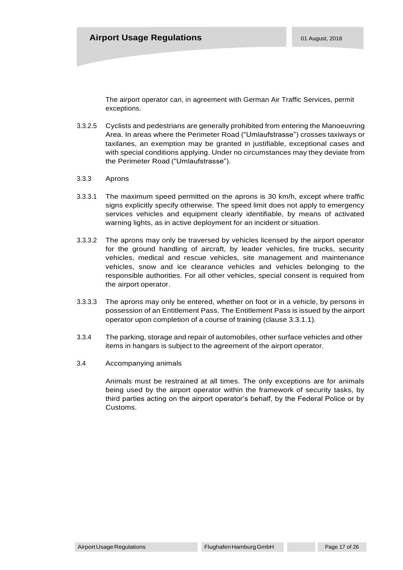The airport operator can, in agreement with German Air Traffic Services, permit exceptions.

- 3.3.2.5 Cyclists and pedestrians are generally prohibited from entering the Manoeuvring Area. In areas where the Perimeter Road ("Umlaufstrasse") crosses taxiways or taxilanes, an exemption may be granted in justifiable, exceptional cases and with special conditions applying. Under no circumstances may they deviate from the Perimeter Road ("Umlaufstrasse").
- 3.3.3 Aprons
- 3.3.3.1 The maximum speed permitted on the aprons is 30 km/h, except where traffic signs explicitly specify otherwise. The speed limit does not apply to emergency services vehicles and equipment clearly identifiable, by means of activated warning lights, as in active deployment for an incident or situation.
- 3.3.3.2 The aprons may only be traversed by vehicles licensed by the airport operator for the ground handling of aircraft, by leader vehicles, fire trucks, security vehicles, medical and rescue vehicles, site management and maintenance vehicles, snow and ice clearance vehicles and vehicles belonging to the responsible authorities. For all other vehicles, special consent is required from the airport operator.
- 3.3.3.3 The aprons may only be entered, whether on foot or in a vehicle, by persons in possession of an Entitlement Pass. The Entitlement Pass is issued by the airport operator upon completion of a course of training (clause 3.3.1.1).
- 3.3.4 The parking, storage and repair of automobiles, other surface vehicles and other items in hangars is subject to the agreement of the airport operator.
- 3.4 Accompanying animals

Animals must be restrained at all times. The only exceptions are for animals being used by the airport operator within the framework of security tasks, by third parties acting on the airport operator's behalf, by the Federal Police or by Customs.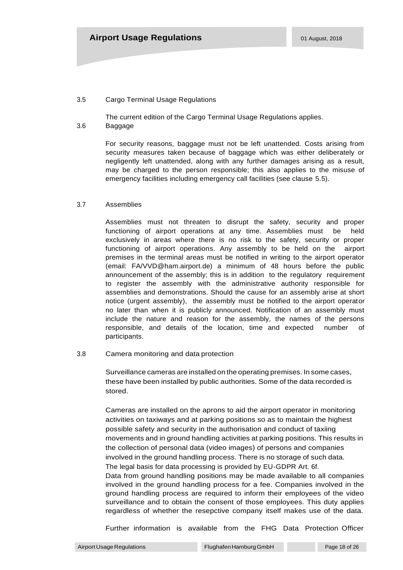#### 3.5 Cargo Terminal Usage Regulations

The current edition of the Cargo Terminal Usage Regulations applies.

# 3.6 Baggage

For security reasons, baggage must not be left unattended. Costs arising from security measures taken because of baggage which was either deliberately or negligently left unattended, along with any further damages arising as a result, may be charged to the person responsible; this also applies to the misuse of emergency facilities including emergency call facilities (see clause 5.5).

# 3.7 Assemblies

Assemblies must not threaten to disrupt the safety, security and proper functioning of airport operations at any time. Assemblies must be held exclusively in areas where there is no risk to the safety, security or proper functioning of airport operations. Any assembly to be held on the airport premises in the terminal areas must be notified in writing to the airport operator (email: FA/VVD@ham.airport.de) a minimum of 48 hours before the public announcement of the assembly; this is in addition to the regulatory requirement to register the assembly with the administrative authority responsible for assemblies and demonstrations. Should the cause for an assembly arise at short notice (urgent assembly), the assembly must be notified to the airport operator no later than when it is publicly announced. Notification of an assembly must include the nature and reason for the assembly, the names of the persons responsible, and details of the location, time and expected number of participants.

# 3.8 Camera monitoring and data protection

Surveillance cameras are installed on the operating premises. In some cases, these have been installed by public authorities. Some of the data recorded is stored.

Cameras are installed on the aprons to aid the airport operator in monitoring activities on taxiways and at parking positions so as to maintain the highest possible safety and security in the authorisation and conduct of taxiing movements and in ground handling activities at parking positions. This results in the collection of personal data (video images) of persons and companies involved in the ground handling process. There is no storage of such data. The legal basis for data processing is provided by EU-GDPR Art. 6f. Data from ground handling positions may be made available to all companies involved in the ground handling process for a fee. Companies involved in the ground handling process are required to inform their employees of the video surveillance and to obtain the consent of those employees. This duty applies regardless of whether the resepctive company itself makes use of the data.

Further information is available from the FHG Data Protection Officer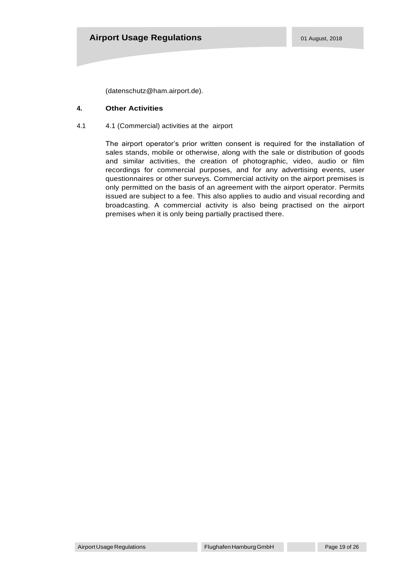(datenschutz@ham.airport.de).

#### **4. Other Activities**

4.1 4.1 (Commercial) activities at the airport

The airport operator's prior written consent is required for the installation of sales stands, mobile or otherwise, along with the sale or distribution of goods and similar activities, the creation of photographic, video, audio or film recordings for commercial purposes, and for any advertising events, user questionnaires or other surveys. Commercial activity on the airport premises is only permitted on the basis of an agreement with the airport operator. Permits issued are subject to a fee. This also applies to audio and visual recording and broadcasting. A commercial activity is also being practised on the airport premises when it is only being partially practised there.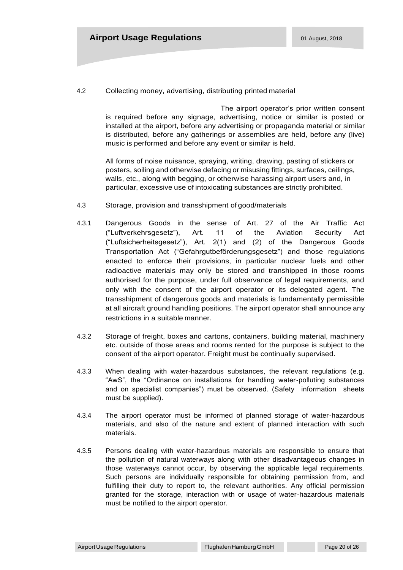#### 4.2 Collecting money, advertising, distributing printed material

The airport operator's prior written consent is required before any signage, advertising, notice or similar is posted or installed at the airport, before any advertising or propaganda material or similar is distributed, before any gatherings or assemblies are held, before any (live) music is performed and before any event or similar is held.

All forms of noise nuisance, spraying, writing, drawing, pasting of stickers or posters, soiling and otherwise defacing or misusing fittings, surfaces, ceilings, walls, etc., along with begging, or otherwise harassing airport users and, in particular, excessive use of intoxicating substances are strictly prohibited.

- 4.3 Storage, provision and transshipment of good/materials
- 4.3.1 Dangerous Goods in the sense of Art. 27 of the Air Traffic Act ("Luftverkehrsgesetz"), Art. 11 of the Aviation Security Act ("Luftsicherheitsgesetz"), Art. 2(1) and (2) of the Dangerous Goods Transportation Act ("Gefahrgutbeförderungsgesetz") and those regulations enacted to enforce their provisions, in particular nuclear fuels and other radioactive materials may only be stored and transhipped in those rooms authorised for the purpose, under full observance of legal requirements, and only with the consent of the airport operator or its delegated agent. The transshipment of dangerous goods and materials is fundamentally permissible at all aircraft ground handling positions. The airport operator shall announce any restrictions in a suitable manner.
- 4.3.2 Storage of freight, boxes and cartons, containers, building material, machinery etc. outside of those areas and rooms rented for the purpose is subject to the consent of the airport operator. Freight must be continually supervised.
- 4.3.3 When dealing with water-hazardous substances, the relevant regulations (e.g. "AwS", the "Ordinance on installations for handling water-polluting substances and on specialist companies") must be observed. (Safety information sheets must be supplied).
- 4.3.4 The airport operator must be informed of planned storage of water-hazardous materials, and also of the nature and extent of planned interaction with such materials.
- 4.3.5 Persons dealing with water-hazardous materials are responsible to ensure that the pollution of natural waterways along with other disadvantageous changes in those waterways cannot occur, by observing the applicable legal requirements. Such persons are individually responsible for obtaining permission from, and fulfilling their duty to report to, the relevant authorities. Any official permission granted for the storage, interaction with or usage of water-hazardous materials must be notified to the airport operator.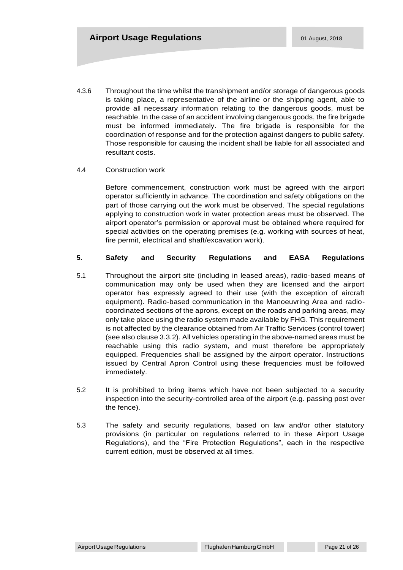4.3.6 Throughout the time whilst the transhipment and/or storage of dangerous goods is taking place, a representative of the airline or the shipping agent, able to provide all necessary information relating to the dangerous goods, must be reachable. In the case of an accident involving dangerous goods, the fire brigade must be informed immediately. The fire brigade is responsible for the coordination of response and for the protection against dangers to public safety. Those responsible for causing the incident shall be liable for all associated and resultant costs.

#### 4.4 Construction work

Before commencement, construction work must be agreed with the airport operator sufficiently in advance. The coordination and safety obligations on the part of those carrying out the work must be observed. The special regulations applying to construction work in water protection areas must be observed. The airport operator's permission or approval must be obtained where required for special activities on the operating premises (e.g. working with sources of heat, fire permit, electrical and shaft/excavation work).

# **5. Safety and Security Regulations and EASA Regulations**

- 5.1 Throughout the airport site (including in leased areas), radio-based means of communication may only be used when they are licensed and the airport operator has expressly agreed to their use (with the exception of aircraft equipment). Radio-based communication in the Manoeuvring Area and radiocoordinated sections of the aprons, except on the roads and parking areas, may only take place using the radio system made available by FHG. This requirement is not affected by the clearance obtained from Air Traffic Services (control tower) (see also clause 3.3.2). All vehicles operating in the above-named areas must be reachable using this radio system, and must therefore be appropriately equipped. Frequencies shall be assigned by the airport operator. Instructions issued by Central Apron Control using these frequencies must be followed immediately.
- 5.2 It is prohibited to bring items which have not been subjected to a security inspection into the security-controlled area of the airport (e.g. passing post over the fence).
- 5.3 The safety and security regulations, based on law and/or other statutory provisions (in particular on regulations referred to in these Airport Usage Regulations), and the "Fire Protection Regulations", each in the respective current edition, must be observed at all times.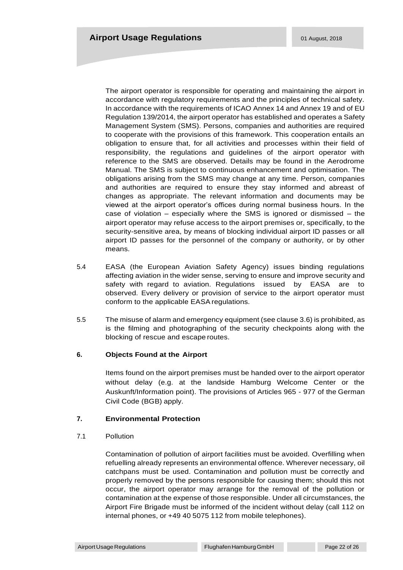The airport operator is responsible for operating and maintaining the airport in accordance with regulatory requirements and the principles of technical safety. In accordance with the requirements of ICAO Annex 14 and Annex 19 and of EU Regulation 139/2014, the airport operator has established and operates a Safety Management System (SMS). Persons, companies and authorities are required to cooperate with the provisions of this framework. This cooperation entails an obligation to ensure that, for all activities and processes within their field of responsibility, the regulations and guidelines of the airport operator with reference to the SMS are observed. Details may be found in the Aerodrome Manual. The SMS is subject to continuous enhancement and optimisation. The obligations arising from the SMS may change at any time. Person, companies and authorities are required to ensure they stay informed and abreast of changes as appropriate. The relevant information and documents may be viewed at the airport operator's offices during normal business hours. In the case of violation – especially where the SMS is ignored or dismissed – the airport operator may refuse access to the airport premises or, specifically, to the security-sensitive area, by means of blocking individual airport ID passes or all airport ID passes for the personnel of the company or authority, or by other means.

- 5.4 EASA (the European Aviation Safety Agency) issues binding regulations affecting aviation in the wider sense, serving to ensure and improve security and safety with regard to aviation. Regulations issued by EASA are to observed. Every delivery or provision of service to the airport operator must conform to the applicable EASA regulations.
- 5.5 The misuse of alarm and emergency equipment (see clause 3.6) is prohibited, as is the filming and photographing of the security checkpoints along with the blocking of rescue and escape routes.

# **6. Objects Found at the Airport**

Items found on the airport premises must be handed over to the airport operator without delay (e.g. at the landside Hamburg Welcome Center or the Auskunft/Information point). The provisions of Articles 965 - 977 of the German Civil Code (BGB) apply.

# **7. Environmental Protection**

# 7.1 Pollution

Contamination of pollution of airport facilities must be avoided. Overfilling when refuelling already represents an environmental offence. Wherever necessary, oil catchpans must be used. Contamination and pollution must be correctly and properly removed by the persons responsible for causing them; should this not occur, the airport operator may arrange for the removal of the pollution or contamination at the expense of those responsible. Under all circumstances, the Airport Fire Brigade must be informed of the incident without delay (call 112 on internal phones, or +49 40 5075 112 from mobile telephones).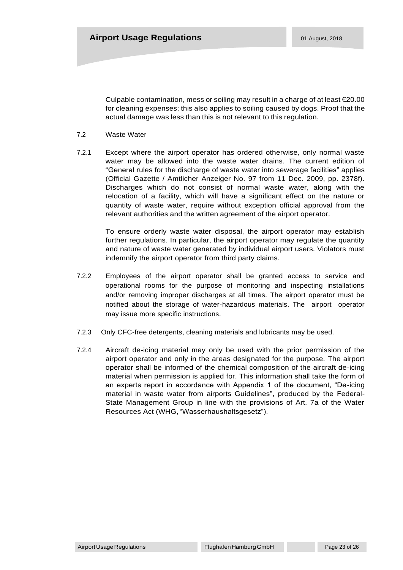Culpable contamination, mess or soiling may result in a charge of at least  $\epsilon$ 20.00 for cleaning expenses; this also applies to soiling caused by dogs. Proof that the actual damage was less than this is not relevant to this regulation.

- 7.2 Waste Water
- 7.2.1 Except where the airport operator has ordered otherwise, only normal waste water may be allowed into the waste water drains. The current edition of "General rules for the discharge of waste water into sewerage facilities" applies (Official Gazette / Amtlicher Anzeiger No. 97 from 11 Dec. 2009, pp. 2378f). Discharges which do not consist of normal waste water, along with the relocation of a facility, which will have a significant effect on the nature or quantity of waste water, require without exception official approval from the relevant authorities and the written agreement of the airport operator.

To ensure orderly waste water disposal, the airport operator may establish further regulations. In particular, the airport operator may regulate the quantity and nature of waste water generated by individual airport users. Violators must indemnify the airport operator from third party claims.

- 7.2.2 Employees of the airport operator shall be granted access to service and operational rooms for the purpose of monitoring and inspecting installations and/or removing improper discharges at all times. The airport operator must be notified about the storage of water-hazardous materials. The airport operator may issue more specific instructions.
- 7.2.3 Only CFC-free detergents, cleaning materials and lubricants may be used.
- 7.2.4 Aircraft de-icing material may only be used with the prior permission of the airport operator and only in the areas designated for the purpose. The airport operator shall be informed of the chemical composition of the aircraft de-icing material when permission is applied for. This information shall take the form of an experts report in accordance with Appendix 1 of the document, "De-icing material in waste water from airports Guidelines", produced by the Federal-State Management Group in line with the provisions of Art. 7a of the Water Resources Act (WHG, "Wasserhaushaltsgesetz").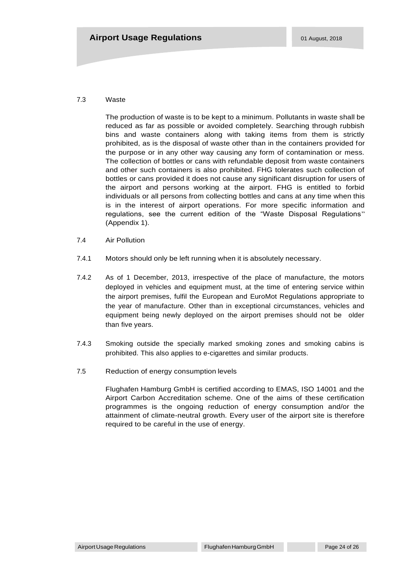#### 7.3 Waste

The production of waste is to be kept to a minimum. Pollutants in waste shall be reduced as far as possible or avoided completely. Searching through rubbish bins and waste containers along with taking items from them is strictly prohibited, as is the disposal of waste other than in the containers provided for the purpose or in any other way causing any form of contamination or mess. The collection of bottles or cans with refundable deposit from waste containers and other such containers is also prohibited. FHG tolerates such collection of bottles or cans provided it does not cause any significant disruption for users of the airport and persons working at the airport. FHG is entitled to forbid individuals or all persons from collecting bottles and cans at any time when this is in the interest of airport operations. For more specific information and regulations, see the current edition of the "Waste Disposal Regulations" (Appendix 1).

- 7.4 Air Pollution
- 7.4.1 Motors should only be left running when it is absolutely necessary.
- 7.4.2 As of 1 December, 2013, irrespective of the place of manufacture, the motors deployed in vehicles and equipment must, at the time of entering service within the airport premises, fulfil the European and EuroMot Regulations appropriate to the year of manufacture. Other than in exceptional circumstances, vehicles and equipment being newly deployed on the airport premises should not be older than five years.
- 7.4.3 Smoking outside the specially marked smoking zones and smoking cabins is prohibited. This also applies to e-cigarettes and similar products.
- 7.5 Reduction of energy consumption levels

Flughafen Hamburg GmbH is certified according to EMAS, ISO 14001 and the Airport Carbon Accreditation scheme. One of the aims of these certification programmes is the ongoing reduction of energy consumption and/or the attainment of climate-neutral growth. Every user of the airport site is therefore required to be careful in the use of energy.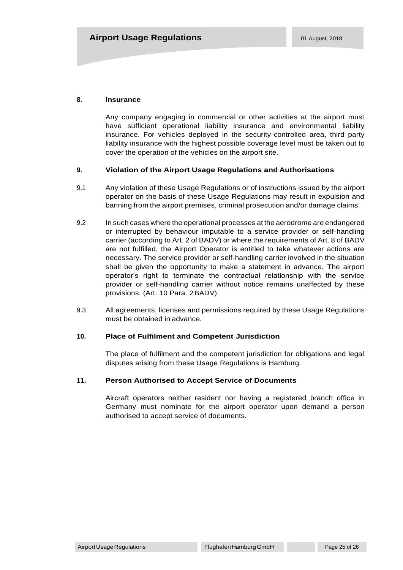#### **8. Insurance**

Any company engaging in commercial or other activities at the airport must have sufficient operational liability insurance and environmental liability insurance. For vehicles deployed in the security-controlled area, third party liability insurance with the highest possible coverage level must be taken out to cover the operation of the vehicles on the airport site.

#### **9. Violation of the Airport Usage Regulations and Authorisations**

- 9.1 Any violation of these Usage Regulations or of instructions issued by the airport operator on the basis of these Usage Regulations may result in expulsion and banning from the airport premises, criminal prosecution and/or damage claims.
- 9.2 In such cases where the operational processes at the aerodrome are endangered or interrupted by behaviour imputable to a service provider or self-handling carrier (according to Art. 2 of BADV) or where the requirements of Art. 8 of BADV are not fulfilled, the Airport Operator is entitled to take whatever actions are necessary. The service provider or self-handling carrier involved in the situation shall be given the opportunity to make a statement in advance. The airport operator's right to terminate the contractual relationship with the service provider or self-handling carrier without notice remains unaffected by these provisions. (Art. 10 Para. 2BADV).
- 9.3 All agreements, licenses and permissions required by these Usage Regulations must be obtained in advance.

# **10. Place of Fulfilment and Competent Jurisdiction**

The place of fulfilment and the competent jurisdiction for obligations and legal disputes arising from these Usage Regulations is Hamburg.

#### **11. Person Authorised to Accept Service of Documents**

Aircraft operators neither resident nor having a registered branch office in Germany must nominate for the airport operator upon demand a person authorised to accept service of documents.